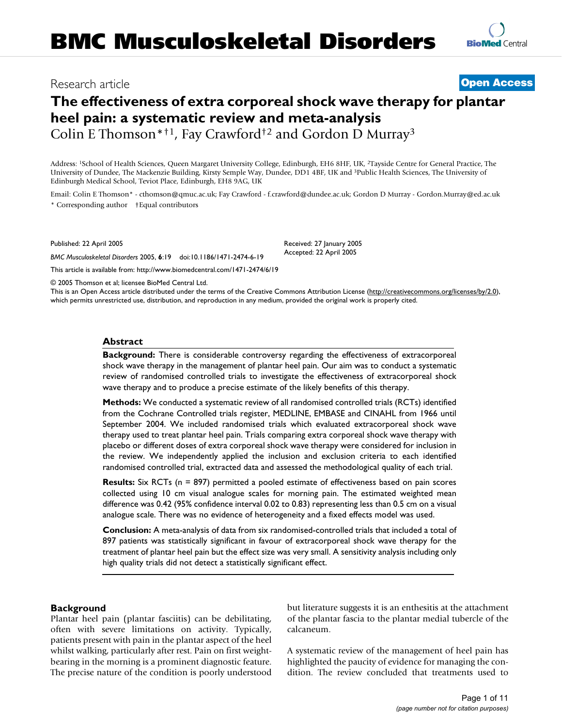# Research article **[Open Access](http://www.biomedcentral.com/info/about/charter/)**

# **The effectiveness of extra corporeal shock wave therapy for plantar heel pain: a systematic review and meta-analysis**

Colin E Thomson\*†1, Fay Crawford†2 and Gordon D Murray3

Address: 1School of Health Sciences, Queen Margaret University College, Edinburgh, EH6 8HF, UK, 2Tayside Centre for General Practice, The University of Dundee, The Mackenzie Building, Kirsty Semple Way, Dundee, DD1 4BF, UK and 3Public Health Sciences, The University of Edinburgh Medical School, Teviot Place, Edinburgh, EH8 9AG, UK

Email: Colin E Thomson\* - cthomson@qmuc.ac.uk; Fay Crawford - f.crawford@dundee.ac.uk; Gordon D Murray - Gordon.Murray@ed.ac.uk \* Corresponding author †Equal contributors

Published: 22 April 2005

*BMC Musculoskeletal Disorders* 2005, **6**:19 doi:10.1186/1471-2474-6-19 [This article is available from: http://www.biomedcentral.com/1471-2474/6/19](http://www.biomedcentral.com/1471-2474/6/19)

Received: 27 January 2005 Accepted: 22 April 2005

© 2005 Thomson et al; licensee BioMed Central Ltd.

This is an Open Access article distributed under the terms of the Creative Commons Attribution License [\(http://creativecommons.org/licenses/by/2.0\)](http://creativecommons.org/licenses/by/2.0), which permits unrestricted use, distribution, and reproduction in any medium, provided the original work is properly cited.

## **Abstract**

**Background:** There is considerable controversy regarding the effectiveness of extracorporeal shock wave therapy in the management of plantar heel pain. Our aim was to conduct a systematic review of randomised controlled trials to investigate the effectiveness of extracorporeal shock wave therapy and to produce a precise estimate of the likely benefits of this therapy.

**Methods:** We conducted a systematic review of all randomised controlled trials (RCTs) identified from the Cochrane Controlled trials register, MEDLINE, EMBASE and CINAHL from 1966 until September 2004. We included randomised trials which evaluated extracorporeal shock wave therapy used to treat plantar heel pain. Trials comparing extra corporeal shock wave therapy with placebo or different doses of extra corporeal shock wave therapy were considered for inclusion in the review. We independently applied the inclusion and exclusion criteria to each identified randomised controlled trial, extracted data and assessed the methodological quality of each trial.

**Results:** Six RCTs (n = 897) permitted a pooled estimate of effectiveness based on pain scores collected using 10 cm visual analogue scales for morning pain. The estimated weighted mean difference was 0.42 (95% confidence interval 0.02 to 0.83) representing less than 0.5 cm on a visual analogue scale. There was no evidence of heterogeneity and a fixed effects model was used.

**Conclusion:** A meta-analysis of data from six randomised-controlled trials that included a total of 897 patients was statistically significant in favour of extracorporeal shock wave therapy for the treatment of plantar heel pain but the effect size was very small. A sensitivity analysis including only high quality trials did not detect a statistically significant effect.

## **Background**

Plantar heel pain (plantar fasciitis) can be debilitating, often with severe limitations on activity. Typically, patients present with pain in the plantar aspect of the heel whilst walking, particularly after rest. Pain on first weightbearing in the morning is a prominent diagnostic feature. The precise nature of the condition is poorly understood but literature suggests it is an enthesitis at the attachment of the plantar fascia to the plantar medial tubercle of the calcaneum.

A systematic review of the management of heel pain has highlighted the paucity of evidence for managing the condition. The review concluded that treatments used to

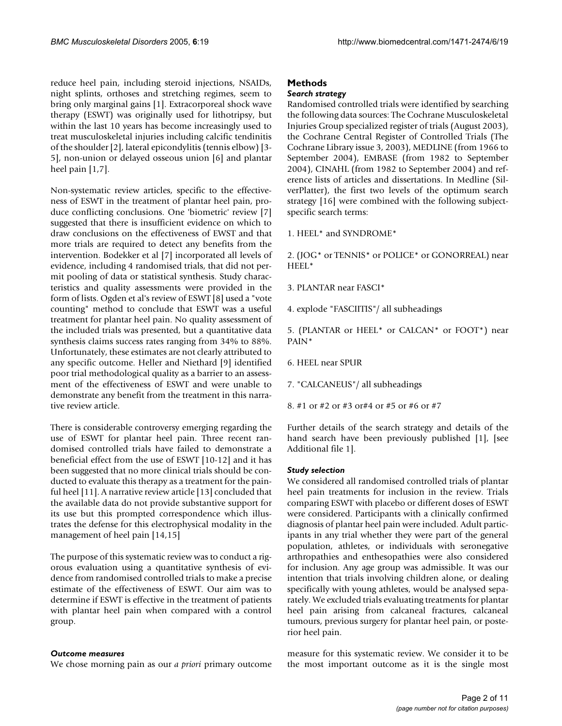reduce heel pain, including steroid injections, NSAIDs, night splints, orthoses and stretching regimes, seem to bring only marginal gains [1]. Extracorporeal shock wave therapy (ESWT) was originally used for lithotripsy, but within the last 10 years has become increasingly used to treat musculoskeletal injuries including calcific tendinitis of the shoulder [2], lateral epicondylitis (tennis elbow) [3- 5], non-union or delayed osseous union [6] and plantar heel pain  $[1,7]$ .

Non-systematic review articles, specific to the effectiveness of ESWT in the treatment of plantar heel pain, produce conflicting conclusions. One 'biometric' review [7] suggested that there is insufficient evidence on which to draw conclusions on the effectiveness of EWST and that more trials are required to detect any benefits from the intervention. Bodekker et al [7] incorporated all levels of evidence, including 4 randomised trials, that did not permit pooling of data or statistical synthesis. Study characteristics and quality assessments were provided in the form of lists. Ogden et al's review of ESWT [8] used a "vote counting" method to conclude that ESWT was a useful treatment for plantar heel pain. No quality assessment of the included trials was presented, but a quantitative data synthesis claims success rates ranging from 34% to 88%. Unfortunately, these estimates are not clearly attributed to any specific outcome. Heller and Niethard [9] identified poor trial methodological quality as a barrier to an assessment of the effectiveness of ESWT and were unable to demonstrate any benefit from the treatment in this narrative review article.

There is considerable controversy emerging regarding the use of ESWT for plantar heel pain. Three recent randomised controlled trials have failed to demonstrate a beneficial effect from the use of ESWT [10-12] and it has been suggested that no more clinical trials should be conducted to evaluate this therapy as a treatment for the painful heel [11]. A narrative review article [13] concluded that the available data do not provide substantive support for its use but this prompted correspondence which illustrates the defense for this electrophysical modality in the management of heel pain [14,15]

The purpose of this systematic review was to conduct a rigorous evaluation using a quantitative synthesis of evidence from randomised controlled trials to make a precise estimate of the effectiveness of ESWT. Our aim was to determine if ESWT is effective in the treatment of patients with plantar heel pain when compared with a control group.

#### *Outcome measures*

We chose morning pain as our *a priori* primary outcome

## **Methods**

## *Search strategy*

Randomised controlled trials were identified by searching the following data sources: The Cochrane Musculoskeletal Injuries Group specialized register of trials (August 2003), the Cochrane Central Register of Controlled Trials (The Cochrane Library issue 3, 2003), MEDLINE (from 1966 to September 2004), EMBASE (from 1982 to September 2004), CINAHL (from 1982 to September 2004) and reference lists of articles and dissertations. In Medline (SilverPlatter), the first two levels of the optimum search strategy [16] were combined with the following subjectspecific search terms:

1. HEEL\* and SYNDROME\*

2. (JOG\* or TENNIS\* or POLICE\* or GONORREAL) near HEEL\*

3. PLANTAR near FASCI\*

4. explode "FASCIITIS"/ all subheadings

5. (PLANTAR or HEEL\* or CALCAN\* or FOOT\*) near PAIN\*

6. HEEL near SPUR

7. "CALCANEUS"/ all subheadings

8. #1 or #2 or #3 or#4 or #5 or #6 or #7

Further details of the search strategy and details of the hand search have been previously published [1], [see Additional file 1].

#### *Study selection*

We considered all randomised controlled trials of plantar heel pain treatments for inclusion in the review. Trials comparing ESWT with placebo or different doses of ESWT were considered. Participants with a clinically confirmed diagnosis of plantar heel pain were included. Adult participants in any trial whether they were part of the general population, athletes, or individuals with seronegative arthropathies and enthesopathies were also considered for inclusion. Any age group was admissible. It was our intention that trials involving children alone, or dealing specifically with young athletes, would be analysed separately. We excluded trials evaluating treatments for plantar heel pain arising from calcaneal fractures, calcaneal tumours, previous surgery for plantar heel pain, or posterior heel pain.

measure for this systematic review. We consider it to be the most important outcome as it is the single most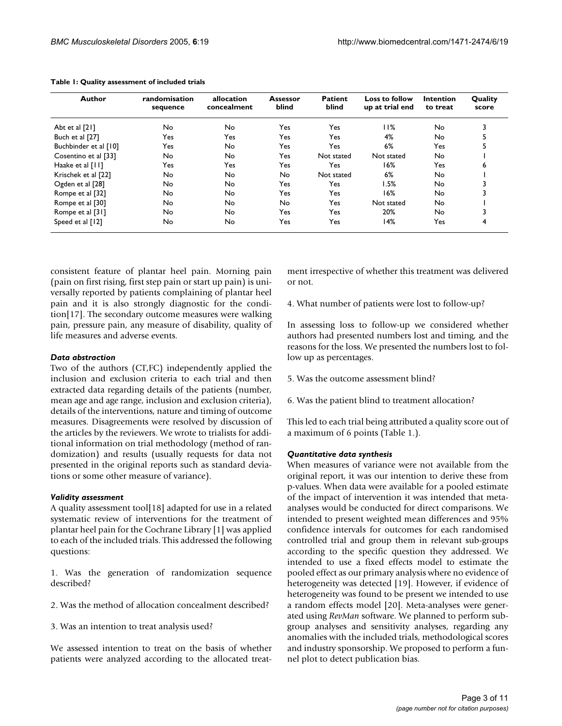| Author                | randomisation<br>sequence | allocation<br>concealment | Assessor<br>blind | <b>Patient</b><br>blind | <b>Loss to follow</b><br>up at trial end | <b>Intention</b><br>to treat | Quality<br>score |
|-----------------------|---------------------------|---------------------------|-------------------|-------------------------|------------------------------------------|------------------------------|------------------|
| Abt et al [21]        | No                        | No                        | Yes               | Yes                     | 11%                                      | No.                          | 3                |
| Buch et al [27]       | Yes                       | Yes                       | Yes               | Yes.                    | 4%                                       | No.                          | 5                |
| Buchbinder et al [10] | Yes                       | No.                       | Yes               | Yes                     | 6%                                       | Yes                          | 5                |
| Cosentino et al [33]  | No.                       | No                        | Yes               | Not stated              | Not stated                               | No.                          |                  |
| Haake et al [11]      | Yes                       | Yes                       | Yes               | Yes                     | 16%                                      | Yes                          | 6                |
| Krischek et al [22]   | No.                       | No.                       | No                | Not stated              | 6%                                       | No.                          |                  |
| Ogden et al [28]      | No                        | No.                       | Yes               | Yes                     | I.5%                                     | No                           | 3                |
| Rompe et al [32]      | No                        | No                        | Yes               | Yes                     | 16%                                      | No                           | 3                |
| Rompe et al [30]      | No                        | No                        | No                | Yes                     | Not stated                               | No                           |                  |
| Rompe et al [31]      | No                        | No                        | Yes               | Yes                     | 20%                                      | No.                          | 3                |
| Speed et al [12]      | No                        | No                        | Yes               | Yes                     | 14%                                      | Yes                          | 4                |

**Table 1: Quality assessment of included trials**

consistent feature of plantar heel pain. Morning pain (pain on first rising, first step pain or start up pain) is universally reported by patients complaining of plantar heel pain and it is also strongly diagnostic for the condition[17]. The secondary outcome measures were walking pain, pressure pain, any measure of disability, quality of life measures and adverse events.

#### *Data abstraction*

Two of the authors (CT,FC) independently applied the inclusion and exclusion criteria to each trial and then extracted data regarding details of the patients (number, mean age and age range, inclusion and exclusion criteria), details of the interventions, nature and timing of outcome measures. Disagreements were resolved by discussion of the articles by the reviewers. We wrote to trialists for additional information on trial methodology (method of randomization) and results (usually requests for data not presented in the original reports such as standard deviations or some other measure of variance).

#### *Validity assessment*

A quality assessment tool[18] adapted for use in a related systematic review of interventions for the treatment of plantar heel pain for the Cochrane Library [1] was applied to each of the included trials. This addressed the following questions:

1. Was the generation of randomization sequence described?

- 2. Was the method of allocation concealment described?
- 3. Was an intention to treat analysis used?

We assessed intention to treat on the basis of whether patients were analyzed according to the allocated treatment irrespective of whether this treatment was delivered or not.

4. What number of patients were lost to follow-up?

In assessing loss to follow-up we considered whether authors had presented numbers lost and timing, and the reasons for the loss. We presented the numbers lost to follow up as percentages.

- 5. Was the outcome assessment blind?
- 6. Was the patient blind to treatment allocation?

This led to each trial being attributed a quality score out of a maximum of 6 points (Table 1.).

#### *Quantitative data synthesis*

When measures of variance were not available from the original report, it was our intention to derive these from p-values. When data were available for a pooled estimate of the impact of intervention it was intended that metaanalyses would be conducted for direct comparisons. We intended to present weighted mean differences and 95% confidence intervals for outcomes for each randomised controlled trial and group them in relevant sub-groups according to the specific question they addressed. We intended to use a fixed effects model to estimate the pooled effect as our primary analysis where no evidence of heterogeneity was detected [19]. However, if evidence of heterogeneity was found to be present we intended to use a random effects model [20]. Meta-analyses were generated using *RevMan* software. We planned to perform subgroup analyses and sensitivity analyses, regarding any anomalies with the included trials, methodological scores and industry sponsorship. We proposed to perform a funnel plot to detect publication bias.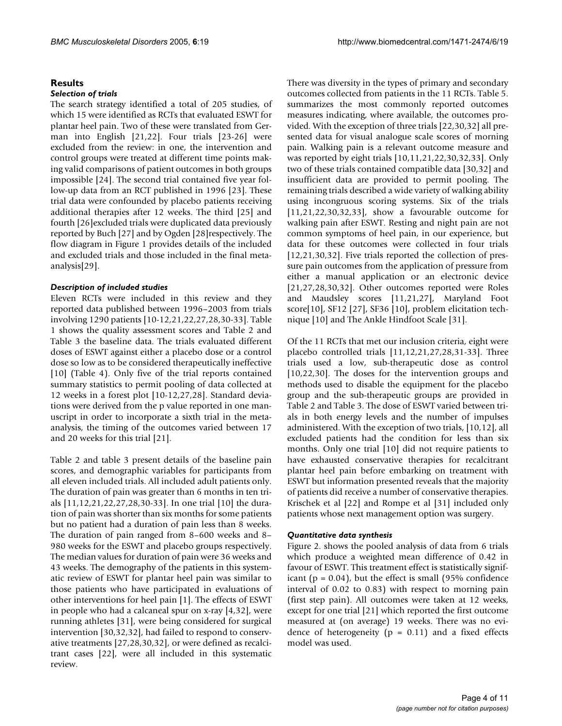## **Results**

#### *Selection of trials*

The search strategy identified a total of 205 studies, of which 15 were identified as RCTs that evaluated ESWT for plantar heel pain. Two of these were translated from German into English [21,22]. Four trials [23-26] were excluded from the review: in one, the intervention and control groups were treated at different time points making valid comparisons of patient outcomes in both groups impossible [24]. The second trial contained five year follow-up data from an RCT published in 1996 [23]. These trial data were confounded by placebo patients receiving additional therapies after 12 weeks. The third [25] and fourth [26]excluded trials were duplicated data previously reported by Buch [27] and by Ogden [28]respectively. The flow diagram in Figure 1 provides details of the included and excluded trials and those included in the final metaanalysis[29].

## *Description of included studies*

Eleven RCTs were included in this review and they reported data published between 1996–2003 from trials involving 1290 patients [10-12,21,22,27,28,30-33]. Table 1 shows the quality assessment scores and Table [2](#page-5-0) and Table [3](#page-5-1) the baseline data. The trials evaluated different doses of ESWT against either a placebo dose or a control dose so low as to be considered therapeutically ineffective [10] (Table 4). Only five of the trial reports contained summary statistics to permit pooling of data collected at 12 weeks in a forest plot [10-12,27,28]. Standard deviations were derived from the p value reported in one manuscript in order to incorporate a sixth trial in the metaanalysis, the timing of the outcomes varied between 17 and 20 weeks for this trial [21].

Table [2](#page-5-0) and table [3](#page-5-1) present details of the baseline pain scores, and demographic variables for participants from all eleven included trials. All included adult patients only. The duration of pain was greater than 6 months in ten trials [11,12,21,22,27,28,30-33]. In one trial [10] the duration of pain was shorter than six months for some patients but no patient had a duration of pain less than 8 weeks. The duration of pain ranged from 8–600 weeks and 8– 980 weeks for the ESWT and placebo groups respectively. The median values for duration of pain were 36 weeks and 43 weeks. The demography of the patients in this systematic review of ESWT for plantar heel pain was similar to those patients who have participated in evaluations of other interventions for heel pain [1]. The effects of ESWT in people who had a calcaneal spur on x-ray [4,32], were running athletes [31], were being considered for surgical intervention [30,32,32], had failed to respond to conservative treatments [27,28,30,32], or were defined as recalcitrant cases [22], were all included in this systematic review.

There was diversity in the types of primary and secondary outcomes collected from patients in the 11 RCTs. Table 5. summarizes the most commonly reported outcomes measures indicating, where available, the outcomes provided. With the exception of three trials [22,30,32] all presented data for visual analogue scale scores of morning pain. Walking pain is a relevant outcome measure and was reported by eight trials [10,11,21,22,30,32,33]. Only two of these trials contained compatible data [30,32] and insufficient data are provided to permit pooling. The remaining trials described a wide variety of walking ability using incongruous scoring systems. Six of the trials [11,21,22,30,32,33], show a favourable outcome for walking pain after ESWT. Resting and night pain are not common symptoms of heel pain, in our experience, but data for these outcomes were collected in four trials [12,21,30,32]. Five trials reported the collection of pressure pain outcomes from the application of pressure from either a manual application or an electronic device [21,27,28,30,32]. Other outcomes reported were Roles and Maudsley scores [11,21,27], Maryland Foot score[10], SF12 [27], SF36 [10], problem elicitation technique [10] and The Ankle Hindfoot Scale [31].

Of the 11 RCTs that met our inclusion criteria, eight were placebo controlled trials [11,12,21,27,28,31-33]. Three trials used a low, sub-therapeutic dose as control [10,22,30]. The doses for the intervention groups and methods used to disable the equipment for the placebo group and the sub-therapeutic groups are provided in Table [2](#page-5-0) and Table [3.](#page-5-1) The dose of ESWT varied between trials in both energy levels and the number of impulses administered. With the exception of two trials, [10,12], all excluded patients had the condition for less than six months. Only one trial [10] did not require patients to have exhausted conservative therapies for recalcitrant plantar heel pain before embarking on treatment with ESWT but information presented reveals that the majority of patients did receive a number of conservative therapies. Krischek et al [22] and Rompe et al [31] included only patients whose next management option was surgery.

#### *Quantitative data synthesis*

Figure 2. shows the pooled analysis of data from 6 trials which produce a weighted mean difference of 0.42 in favour of ESWT. This treatment effect is statistically significant ( $p = 0.04$ ), but the effect is small (95% confidence interval of 0.02 to 0.83) with respect to morning pain (first step pain). All outcomes were taken at 12 weeks, except for one trial [21] which reported the first outcome measured at (on average) 19 weeks. There was no evidence of heterogeneity ( $p = 0.11$ ) and a fixed effects model was used.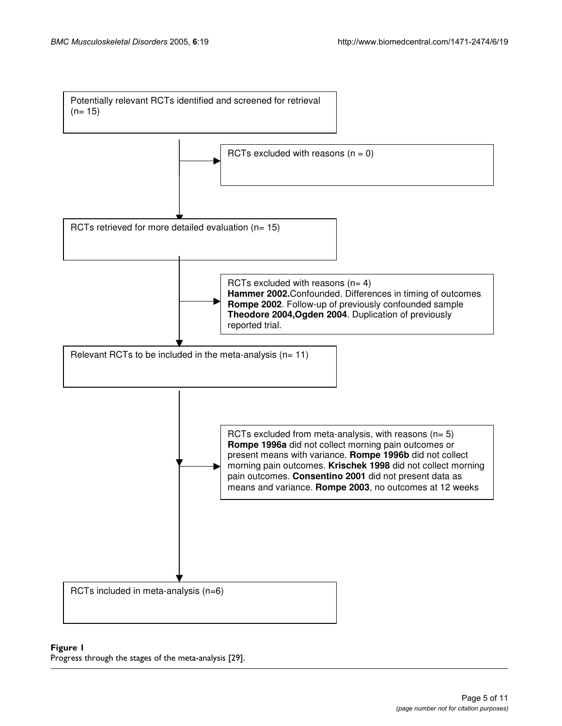

#### **Figure 1** Progress through the stages of the meta-analysis [29].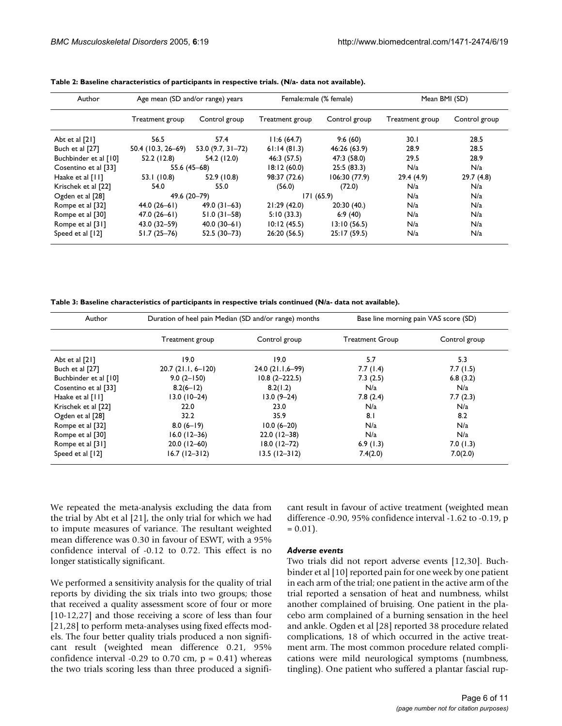| Author                | Age mean (SD and/or range) years |                       | Female:male (% female) |               | Mean BMI (SD)   |               |  |
|-----------------------|----------------------------------|-----------------------|------------------------|---------------|-----------------|---------------|--|
|                       | Treatment group                  | Control group         | Treatment group        | Control group | Treatment group | Control group |  |
| Abt et al [21]        | 56.5                             | 57.4                  | 11:6(64.7)             | 9:6(60)       | 30.1            | 28.5          |  |
| Buch et al [27]       | 50.4 (10.3, 26–69)               | 53.0 $(9.7, 31 - 72)$ | 61:14(81.3)            | 46:26 (63.9)  | 28.9            | 28.5          |  |
| Buchbinder et al [10] | 52.2 (12.8)                      | 54.2 (12.0)           | 46:3 (57.5)            | 47:3 (58.0)   | 29.5            | 28.9          |  |
| Cosentino et al [33]  | 55.6 (45-68)                     |                       | 18:12(60.0)            | 25:5(83.3)    | N/a             | N/a           |  |
| Haake et al [11]      | 53.1 (10.8)                      | 52.9 (10.8)           | 98:37 (72.6)           | 106:30 (77.9) | 29.4(4.9)       | 29.7(4.8)     |  |
| Krischek et al [22]   | 54.0                             | 55.0                  | (56.0)                 | (72.0)        | N/a             | N/a           |  |
| Ogden et al [28]      | 49.6 (20-79)                     |                       | 171(65.9)              |               | N/a             | N/a           |  |
| Rompe et al [32]      | $44.0(26-61)$                    | $49.0(31-63)$         | 21:29(42.0)            | 20:30(40.)    | N/a             | N/a           |  |
| Rompe et al [30]      | $47.0(26-61)$                    | $51.0(31 - 58)$       | 5:10(33.3)             | 6:9(40)       | N/a             | N/a           |  |
| Rompe et al [31]      | $43.0(32 - 59)$                  | $40.0(30-61)$         | 10:12(45.5)            | 13:10(56.5)   | N/a             | N/a           |  |
| Speed et al [12]      | $51.7(25-76)$                    | $52.5(30-73)$         | 26:20 (56.5)           | 25:17(59.5)   | N/a             | N/a           |  |

<span id="page-5-0"></span>**Table 2: Baseline characteristics of participants in respective trials. (N/a- data not available).**

<span id="page-5-1"></span>**Table 3: Baseline characteristics of participants in respective trials continued (N/a- data not available).**

| Author                | Duration of heel pain Median (SD and/or range) months |                   | Base line morning pain VAS score (SD) |               |  |
|-----------------------|-------------------------------------------------------|-------------------|---------------------------------------|---------------|--|
|                       | Treatment group                                       | Control group     | <b>Treatment Group</b>                | Control group |  |
| Abt et al [21]        | 19.0                                                  | 19.0              | 5.7                                   | 5.3           |  |
| Buch et al [27]       | $20.7(21.1, 6-120)$                                   | 24.0 (21.1,6–99)  | 7.7(1.4)                              | 7.7(1.5)      |  |
| Buchbinder et al [10] | $9.0(2 - 150)$                                        | $10.8(2 - 222.5)$ | 7.3(2.5)                              | 6.8(3.2)      |  |
| Cosentino et al [33]  | $8.2(6-12)$                                           | 8.2(1.2)          | N/a                                   | N/a           |  |
| Haake et al [11]      | $13.0(10-24)$                                         | $13.0(9-24)$      | 7.8(2.4)                              | 7.7(2.3)      |  |
| Krischek et al [22]   | 22.0                                                  | 23.0              | N/a                                   | N/a           |  |
| Ogden et al [28]      | 32.2                                                  | 35.9              | 8.1                                   | 8.2           |  |
| Rompe et al [32]      | $8.0(6-19)$                                           | $10.0 (6 - 20)$   | N/a                                   | N/a           |  |
| Rompe et al [30]      | $16.0(12-36)$                                         | $22.0(12-38)$     | N/a                                   | N/a           |  |
| Rompe et al [31]      | $20.0(12-60)$                                         | $18.0(12 - 72)$   | 6.9(1.3)                              | 7.0(1.3)      |  |
| Speed et al [12]      | $16.7(12 - 312)$                                      | $13.5(12-312)$    | 7.4(2.0)                              | 7.0(2.0)      |  |

We repeated the meta-analysis excluding the data from the trial by Abt et al [21], the only trial for which we had to impute measures of variance. The resultant weighted mean difference was 0.30 in favour of ESWT, with a 95% confidence interval of -0.12 to 0.72. This effect is no longer statistically significant.

We performed a sensitivity analysis for the quality of trial reports by dividing the six trials into two groups; those that received a quality assessment score of four or more [10-12,27] and those receiving a score of less than four [21,28] to perform meta-analyses using fixed effects models. The four better quality trials produced a non significant result (weighted mean difference 0.21, 95% confidence interval -0.29 to 0.70 cm,  $p = 0.41$ ) whereas the two trials scoring less than three produced a significant result in favour of active treatment (weighted mean difference -0.90, 95% confidence interval -1.62 to -0.19, p  $= 0.01$ ).

#### *Adverse events*

Two trials did not report adverse events [12,30]. Buchbinder et al [10] reported pain for one week by one patient in each arm of the trial; one patient in the active arm of the trial reported a sensation of heat and numbness, whilst another complained of bruising. One patient in the placebo arm complained of a burning sensation in the heel and ankle. Ogden et al [28] reported 38 procedure related complications, 18 of which occurred in the active treatment arm. The most common procedure related complications were mild neurological symptoms (numbness, tingling). One patient who suffered a plantar fascial rup-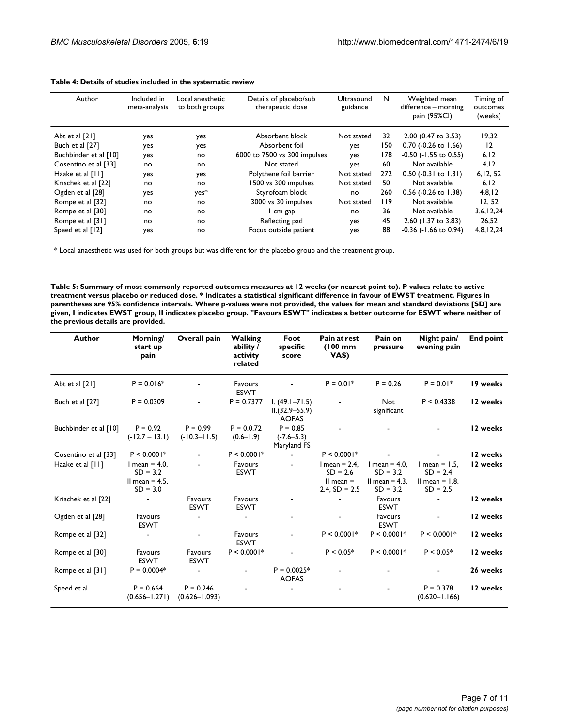| Author                | Included in<br>meta-analysis | Local anesthetic<br>to both groups | Details of placebo/sub<br>therapeutic dose | <b>Ultrasound</b><br>guidance | N   | Weighted mean<br>difference - morning<br>pain (95%CI) | Timing of<br>outcomes<br>(weeks) |
|-----------------------|------------------------------|------------------------------------|--------------------------------------------|-------------------------------|-----|-------------------------------------------------------|----------------------------------|
| Abt et al [21]        | yes                          | yes                                | Absorbent block                            | Not stated                    | 32  | $2.00$ (0.47 to 3.53)                                 | 19,32                            |
| Buch et al [27]       | yes                          | yes                                | Absorbent foil                             | yes                           | 150 | $0.70$ (-0.26 to 1.66)                                | 12                               |
| Buchbinder et al [10] | yes                          | no                                 | 6000 to 7500 vs 300 impulses               | yes                           | 178 | $-0.50$ ( $-1.55$ to 0.55)                            | 6, 12                            |
| Cosentino et al [33]  | no                           | no                                 | Not stated                                 | yes                           | 60  | Not available                                         | 4,12                             |
| Haake et al [11]      | yes                          | yes                                | Polythene foil barrier                     | Not stated                    | 272 | $0.50$ (-0.31 to 1.31)                                | 6, 12, 52                        |
| Krischek et al [22]   | no                           | no                                 | 1500 vs 300 impulses                       | Not stated                    | 50  | Not available                                         | 6, 12                            |
| Ogden et al [28]      | yes                          | yes*                               | Styrofoam block                            | no                            | 260 | 0.56 (-0.26 to 1.38)                                  | 4,8,12                           |
| Rompe et al [32]      | no                           | no                                 | 3000 vs 30 impulses                        | Not stated                    | 119 | Not available                                         | 12.52                            |
| Rompe et al [30]      | no                           | no                                 | cm gap                                     | no                            | 36  | Not available                                         | 3,6,12,24                        |
| Rompe et al [31]      | no                           | no                                 | Reflecting pad                             | yes                           | 45  | 2.60 (1.37 to 3.83)                                   | 26,52                            |
| Speed et al [12]      | yes                          | no                                 | Focus outside patient                      | yes                           | 88  | $-0.36$ ( $-1.66$ to 0.94)                            | 4,8,12,24                        |

#### **Table 4: Details of studies included in the systematic review**

\* Local anaesthetic was used for both groups but was different for the placebo group and the treatment group.

**Table 5: Summary of most commonly reported outcomes measures at 12 weeks (or nearest point to). P values relate to active treatment versus placebo or reduced dose. \* Indicates a statistical significant difference in favour of EWST treatment. Figures in parentheses are 95% confidence intervals. Where p-values were not provided, the values for mean and standard deviations [SD] are given, I indicates EWST group, II indicates placebo group. "Favours ESWT" indicates a better outcome for ESWT where neither of the previous details are provided.**

| Author                | Morning/<br>start up<br>pain                                     | Overall pain                     | <b>Walking</b><br>ability /<br>activity<br>related | Foot<br>specific<br>score                               | Pain at rest<br>$(100$ mm<br>VAS)                                   | Pain on<br>pressure                                             | Night pain/<br>evening pain                                         | <b>End point</b> |
|-----------------------|------------------------------------------------------------------|----------------------------------|----------------------------------------------------|---------------------------------------------------------|---------------------------------------------------------------------|-----------------------------------------------------------------|---------------------------------------------------------------------|------------------|
| Abt et al [21]        | $P = 0.016*$                                                     |                                  | Favours<br><b>ESWT</b>                             |                                                         | $P = 0.01*$                                                         | $P = 0.26$                                                      | $P = 0.01*$                                                         | 19 weeks         |
| Buch et al [27]       | $P = 0.0309$                                                     |                                  | $P = 0.7377$                                       | $1. (49.1 - 71.5)$<br>$IL(32.9 - 55.9)$<br><b>AOFAS</b> |                                                                     | <b>Not</b><br>significant                                       | P < 0.4338                                                          | 12 weeks         |
| Buchbinder et al [10] | $P = 0.92$<br>$(-12.7 - 13.1)$                                   | $P = 0.99$<br>$(-10.3 - 11.5)$   | $P = 0.0.72$<br>$(0.6 - 1.9)$                      | $P = 0.85$<br>$(-7.6 - 5.3)$<br>Maryland FS             |                                                                     |                                                                 |                                                                     | 12 weeks         |
| Cosentino et al [33]  | $P < 0.0001*$                                                    |                                  | $P < 0.0001*$                                      |                                                         | $P < 0.0001*$                                                       |                                                                 |                                                                     | 12 weeks         |
| Haake et al [11]      | $l$ mean = 4.0,<br>$SD = 3.2$<br>II mean $= 4.5$ .<br>$SD = 3.0$ |                                  | Favours<br><b>ESWT</b>                             |                                                         | I mean $= 2.4$ ,<br>$SD = 2.6$<br>II mean $=$<br>$2.4$ , SD = $2.5$ | $l$ mean = 4.0,<br>$SD = 3.2$<br>II mean $=$ 4.3.<br>$SD = 3.2$ | $l$ mean = $1.5$ ,<br>$SD = 2.4$<br>Il mean $= 1.8$ .<br>$SD = 2.5$ | 12 weeks         |
| Krischek et al [22]   |                                                                  | Favours<br><b>ESWT</b>           | Favours<br><b>ESWT</b>                             |                                                         |                                                                     | Favours<br><b>ESWT</b>                                          |                                                                     | 12 weeks         |
| Ogden et al [28]      | Favours<br><b>ESWT</b>                                           |                                  |                                                    | $\blacksquare$                                          | $\blacksquare$                                                      | Favours<br><b>ESWT</b>                                          |                                                                     | 12 weeks         |
| Rompe et al [32]      |                                                                  |                                  | Favours<br><b>ESWT</b>                             |                                                         | $P < 0.0001*$                                                       | $P < 0.0001*$                                                   | $P < 0.0001*$                                                       | 12 weeks         |
| Rompe et al [30]      | Favours<br><b>ESWT</b>                                           | Favours<br><b>ESWT</b>           | $P < 0.0001*$                                      |                                                         | $P < 0.05*$                                                         | $P < 0.0001*$                                                   | $P < 0.05*$                                                         | 12 weeks         |
| Rompe et al [31]      | $P = 0.0004*$                                                    |                                  |                                                    | $P = 0.0025*$<br><b>AOFAS</b>                           |                                                                     |                                                                 |                                                                     | 26 weeks         |
| Speed et al           | $P = 0.664$<br>$(0.656 - 1.271)$                                 | $P = 0.246$<br>$(0.626 - 1.093)$ |                                                    |                                                         |                                                                     |                                                                 | $P = 0.378$<br>$(0.620 - 1.166)$                                    | 12 weeks         |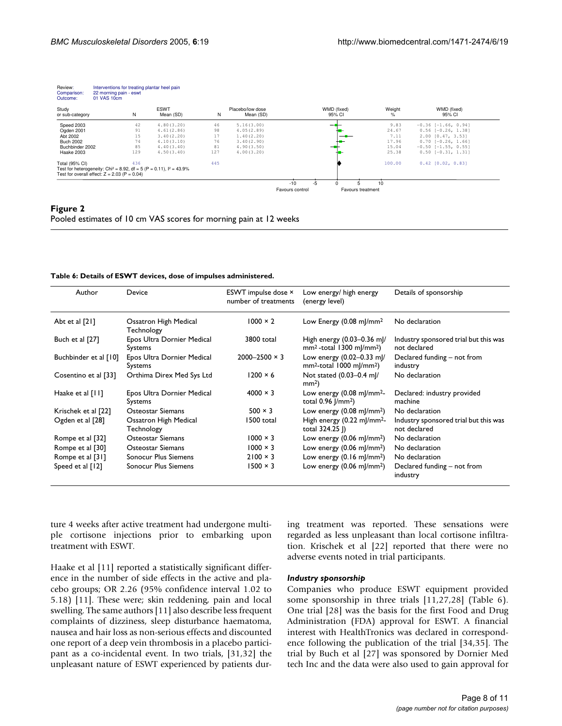| Review:<br>Comparison:<br>Outcome: | Interventions for treating plantar heel pain<br>22 morning pain - eswt<br>01 VAS 10cm |     |                                                                                    |     |                               |                 |    |                          |                |                           |
|------------------------------------|---------------------------------------------------------------------------------------|-----|------------------------------------------------------------------------------------|-----|-------------------------------|-----------------|----|--------------------------|----------------|---------------------------|
| Study<br>or sub-category           |                                                                                       | N   | <b>ESWT</b><br>Mean (SD)                                                           | N   | Placebo/low dose<br>Mean (SD) |                 |    | WMD (fixed)<br>95% CI    | Weight<br>$\%$ | WMD (fixed)<br>95% CI     |
| Speed 2003                         |                                                                                       | 42  | 4.80(3.20)                                                                         | 46  | 5.16(3.00)                    |                 |    |                          | 9.83           | $-0.36$ [ $-1.66$ , 0.94] |
| Ogden 2001                         |                                                                                       | 91  | 4.61(2.86)                                                                         | 98  | 4.05(2.89)                    |                 |    |                          | 24.67          | $0.56$ $[-0.26, 1.38]$    |
| Abt 2002                           |                                                                                       | 15  | 3.40(2.20)                                                                         | 17  | 1.40(2.20)                    |                 |    |                          | 7.11           | $2.00$ $[0.47, 3.53]$     |
| <b>Buch 2002</b>                   |                                                                                       | 74  | 4.10(3.10)                                                                         | 76  | 3.40(2.90)                    |                 |    |                          | 17.96          | $0.70$ [-0.26, 1.66]      |
| Buchbinder 2002                    |                                                                                       | 85  | 4.40(3.40)                                                                         | 81  | 4.90(3.50)                    |                 |    |                          | 15.04          | $-0.50$ [ $-1.55$ , 0.55] |
| Haake 2003                         |                                                                                       | 129 | 4.50(3.40)                                                                         | 127 | 4.00(3.20)                    |                 |    |                          | 25.38          | $0.50$ $[-0.31, 1.31]$    |
| Total (95% CI)                     |                                                                                       | 436 |                                                                                    | 445 |                               |                 |    |                          | 100.00         | $0.42$ $[0.02, 0.83]$     |
|                                    | Test for overall effect: $Z = 2.03$ (P = 0.04)                                        |     | Test for heterogeneity: Chi <sup>2</sup> = 8.92, df = 5 (P = 0.11), $I^2 = 43.9\%$ |     |                               |                 |    |                          |                |                           |
|                                    |                                                                                       |     |                                                                                    |     |                               | $-10$           | -5 |                          | 10             |                           |
|                                    |                                                                                       |     |                                                                                    |     |                               | Favours control |    | <b>Favours treatment</b> |                |                           |

#### **Figure 2**

Pooled estimates of 10 cm VAS scores for morning pain at 12 weeks

| Table 6: Details of ESWT devices, dose of impulses administered. |  |  |  |  |
|------------------------------------------------------------------|--|--|--|--|
|------------------------------------------------------------------|--|--|--|--|

| Author                | Device                                | ESWT impulse dose ×<br>number of treatments | Low energy/ high energy<br>(energy level)                                       | Details of sponsorship                                |
|-----------------------|---------------------------------------|---------------------------------------------|---------------------------------------------------------------------------------|-------------------------------------------------------|
| Abt et al $[21]$      | Ossatron High Medical<br>Technology   | $1000 \times 2$                             | Low Energy $(0.08 \text{ m})/\text{mm}^2$                                       | No declaration                                        |
| Buch et al [27]       | Epos Ultra Dornier Medical<br>Systems | 3800 total                                  | High energy $(0.03-0.36 \text{ m})$ /<br>$mm2$ -total 1300 mJ/mm <sup>2</sup> ) | Industry sponsored trial but this was<br>not declared |
| Buchbinder et al [10] | Epos Ultra Dornier Medical<br>Systems | $2000 - 2500 \times 3$                      | Low energy (0.02-0.33 mJ/<br>$mm2$ -total 1000 mJ/mm <sup>2</sup> )             | Declared funding – not from<br>industry               |
| Cosentino et al [33]  | Orthima Direx Med Sys Ltd             | $1200 \times 6$                             | Not stated (0.03-0.4 ml/<br>$mm2$ )                                             | No declaration                                        |
| Haake et al [11]      | Epos Ultra Dornier Medical<br>Systems | $4000 \times 3$                             | Low energy $(0.08 \text{ m})/\text{mm}^2$ -<br>total 0.96 [/mm <sup>2</sup> )   | Declared: industry provided<br>machine                |
| Krischek et al [22]   | Osteostar Siemans                     | $500 \times 3$                              | Low energy $(0.08 \text{ m} / \text{mm}^2)$                                     | No declaration                                        |
| Ogden et al [28]      | Ossatron High Medical<br>Technology   | 1500 total                                  | High energy $(0.22 \text{ m})/\text{mm}^2$ -<br>total 324.25  )                 | Industry sponsored trial but this was<br>not declared |
| Rompe et al [32]      | Osteostar Siemans                     | $1000 \times 3$                             | Low energy $(0.06 \text{ m}]/\text{mm}^2$ )                                     | No declaration                                        |
| Rompe et al [30]      | Osteostar Siemans                     | $1000 \times 3$                             | Low energy $(0.06 \text{ m} / \text{mm}^2)$                                     | No declaration                                        |
| Rompe et al [31]      | Sonocur Plus Siemens                  | $2100 \times 3$                             | Low energy $(0.16 \text{ m}]/\text{mm}^2$ )                                     | No declaration                                        |
| Speed et al [12]      | Sonocur Plus Siemens                  | $1500 \times 3$                             | Low energy $(0.06 \text{ m} / \text{mm}^2)$                                     | Declared funding – not from<br>industry               |

ture 4 weeks after active treatment had undergone multiple cortisone injections prior to embarking upon treatment with ESWT.

Haake et al [11] reported a statistically significant difference in the number of side effects in the active and placebo groups; OR 2.26 (95% confidence interval 1.02 to 5.18) [11]. These were; skin reddening, pain and local swelling. The same authors [11] also describe less frequent complaints of dizziness, sleep disturbance haematoma, nausea and hair loss as non-serious effects and discounted one report of a deep vein thrombosis in a placebo participant as a co-incidental event. In two trials, [31,32] the unpleasant nature of ESWT experienced by patients dur-

ing treatment was reported. These sensations were regarded as less unpleasant than local cortisone infiltration. Krischek et al [22] reported that there were no adverse events noted in trial participants.

#### *Industry sponsorship*

Companies who produce ESWT equipment provided some sponsorship in three trials [11,27,28] (Table 6). One trial [28] was the basis for the first Food and Drug Administration (FDA) approval for ESWT. A financial interest with HealthTronics was declared in correspondence following the publication of the trial [34,35]. The trial by Buch et al [27] was sponsored by Dornier Med tech Inc and the data were also used to gain approval for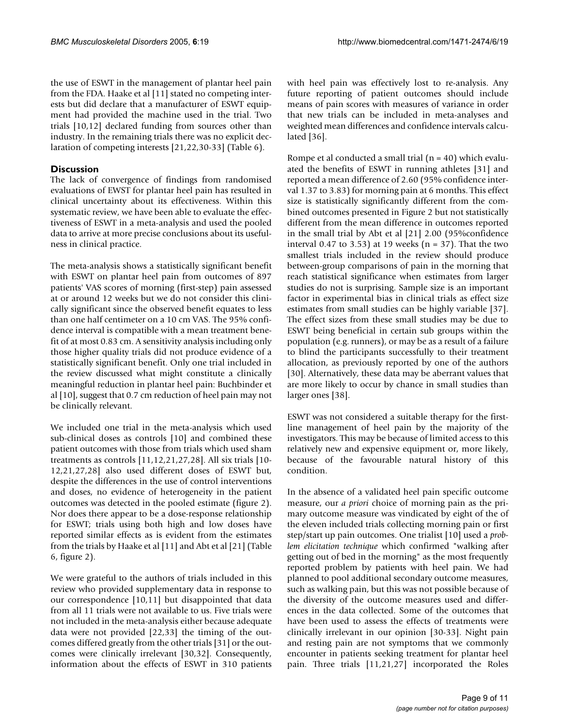the use of ESWT in the management of plantar heel pain from the FDA. Haake et al [11] stated no competing interests but did declare that a manufacturer of ESWT equipment had provided the machine used in the trial. Two trials [10,12] declared funding from sources other than industry. In the remaining trials there was no explicit declaration of competing interests [21,22,30-33] (Table 6).

## **Discussion**

The lack of convergence of findings from randomised evaluations of EWST for plantar heel pain has resulted in clinical uncertainty about its effectiveness. Within this systematic review, we have been able to evaluate the effectiveness of ESWT in a meta-analysis and used the pooled data to arrive at more precise conclusions about its usefulness in clinical practice.

The meta-analysis shows a statistically significant benefit with ESWT on plantar heel pain from outcomes of 897 patients' VAS scores of morning (first-step) pain assessed at or around 12 weeks but we do not consider this clinically significant since the observed benefit equates to less than one half centimeter on a 10 cm VAS. The 95% confidence interval is compatible with a mean treatment benefit of at most 0.83 cm. A sensitivity analysis including only those higher quality trials did not produce evidence of a statistically significant benefit. Only one trial included in the review discussed what might constitute a clinically meaningful reduction in plantar heel pain: Buchbinder et al [10], suggest that 0.7 cm reduction of heel pain may not be clinically relevant.

We included one trial in the meta-analysis which used sub-clinical doses as controls [10] and combined these patient outcomes with those from trials which used sham treatments as controls [11,12,21,27,28]. All six trials [10- 12,21,27,28] also used different doses of ESWT but, despite the differences in the use of control interventions and doses, no evidence of heterogeneity in the patient outcomes was detected in the pooled estimate (figure 2). Nor does there appear to be a dose-response relationship for ESWT; trials using both high and low doses have reported similar effects as is evident from the estimates from the trials by Haake et al [11] and Abt et al [21] (Table 6, figure 2).

We were grateful to the authors of trials included in this review who provided supplementary data in response to our correspondence [10,11] but disappointed that data from all 11 trials were not available to us. Five trials were not included in the meta-analysis either because adequate data were not provided [22,33] the timing of the outcomes differed greatly from the other trials [31] or the outcomes were clinically irrelevant [30,32]. Consequently, information about the effects of ESWT in 310 patients

with heel pain was effectively lost to re-analysis. Any future reporting of patient outcomes should include means of pain scores with measures of variance in order that new trials can be included in meta-analyses and weighted mean differences and confidence intervals calculated [36].

Rompe et al conducted a small trial  $(n = 40)$  which evaluated the benefits of ESWT in running athletes [31] and reported a mean difference of 2.60 (95% confidence interval 1.37 to 3.83) for morning pain at 6 months. This effect size is statistically significantly different from the combined outcomes presented in Figure 2 but not statistically different from the mean difference in outcomes reported in the small trial by Abt et al [21] 2.00 (95%confidence interval 0.47 to 3.53) at 19 weeks ( $n = 37$ ). That the two smallest trials included in the review should produce between-group comparisons of pain in the morning that reach statistical significance when estimates from larger studies do not is surprising. Sample size is an important factor in experimental bias in clinical trials as effect size estimates from small studies can be highly variable [37]. The effect sizes from these small studies may be due to ESWT being beneficial in certain sub groups within the population (e.g. runners), or may be as a result of a failure to blind the participants successfully to their treatment allocation, as previously reported by one of the authors [30]. Alternatively, these data may be aberrant values that are more likely to occur by chance in small studies than larger ones [38].

ESWT was not considered a suitable therapy for the firstline management of heel pain by the majority of the investigators. This may be because of limited access to this relatively new and expensive equipment or, more likely, because of the favourable natural history of this condition.

In the absence of a validated heel pain specific outcome measure, our *a priori* choice of morning pain as the primary outcome measure was vindicated by eight of the of the eleven included trials collecting morning pain or first step/start up pain outcomes. One trialist [10] used a *problem elicitation technique* which confirmed "walking after getting out of bed in the morning" as the most frequently reported problem by patients with heel pain. We had planned to pool additional secondary outcome measures, such as walking pain, but this was not possible because of the diversity of the outcome measures used and differences in the data collected. Some of the outcomes that have been used to assess the effects of treatments were clinically irrelevant in our opinion [30-33]. Night pain and resting pain are not symptoms that we commonly encounter in patients seeking treatment for plantar heel pain. Three trials [11,21,27] incorporated the Roles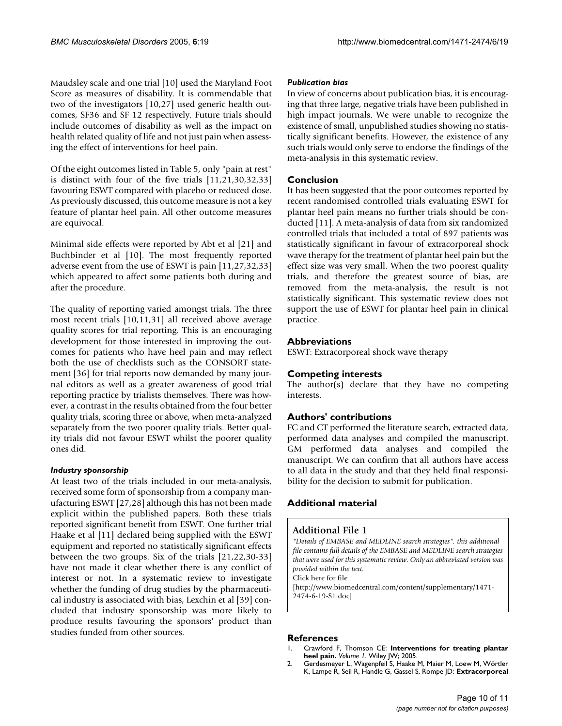Maudsley scale and one trial [10] used the Maryland Foot Score as measures of disability. It is commendable that two of the investigators [10,27] used generic health outcomes, SF36 and SF 12 respectively. Future trials should include outcomes of disability as well as the impact on health related quality of life and not just pain when assessing the effect of interventions for heel pain.

Of the eight outcomes listed in Table 5, only "pain at rest" is distinct with four of the five trials [11,21,30,32,33] favouring ESWT compared with placebo or reduced dose. As previously discussed, this outcome measure is not a key feature of plantar heel pain. All other outcome measures are equivocal.

Minimal side effects were reported by Abt et al [21] and Buchbinder et al [10]. The most frequently reported adverse event from the use of ESWT is pain [11,27,32,33] which appeared to affect some patients both during and after the procedure.

The quality of reporting varied amongst trials. The three most recent trials [10,11,31] all received above average quality scores for trial reporting. This is an encouraging development for those interested in improving the outcomes for patients who have heel pain and may reflect both the use of checklists such as the CONSORT statement [36] for trial reports now demanded by many journal editors as well as a greater awareness of good trial reporting practice by trialists themselves. There was however, a contrast in the results obtained from the four better quality trials, scoring three or above, when meta-analyzed separately from the two poorer quality trials. Better quality trials did not favour ESWT whilst the poorer quality ones did.

## *Industry sponsorship*

At least two of the trials included in our meta-analysis, received some form of sponsorship from a company manufacturing ESWT [27,28] although this has not been made explicit within the published papers. Both these trials reported significant benefit from ESWT. One further trial Haake et al [11] declared being supplied with the ESWT equipment and reported no statistically significant effects between the two groups. Six of the trials [21,22,30-33] have not made it clear whether there is any conflict of interest or not. In a systematic review to investigate whether the funding of drug studies by the pharmaceutical industry is associated with bias, Lexchin et al [39] concluded that industry sponsorship was more likely to produce results favouring the sponsors' product than studies funded from other sources.

## *Publication bias*

In view of concerns about publication bias, it is encouraging that three large, negative trials have been published in high impact journals. We were unable to recognize the existence of small, unpublished studies showing no statistically significant benefits. However, the existence of any such trials would only serve to endorse the findings of the meta-analysis in this systematic review.

## **Conclusion**

It has been suggested that the poor outcomes reported by recent randomised controlled trials evaluating ESWT for plantar heel pain means no further trials should be conducted [11]. A meta-analysis of data from six randomized controlled trials that included a total of 897 patients was statistically significant in favour of extracorporeal shock wave therapy for the treatment of plantar heel pain but the effect size was very small. When the two poorest quality trials, and therefore the greatest source of bias, are removed from the meta-analysis, the result is not statistically significant. This systematic review does not support the use of ESWT for plantar heel pain in clinical practice.

## **Abbreviations**

ESWT: Extracorporeal shock wave therapy

## **Competing interests**

The author(s) declare that they have no competing interests.

## **Authors' contributions**

FC and CT performed the literature search, extracted data, performed data analyses and compiled the manuscript. GM performed data analyses and compiled the manuscript. We can confirm that all authors have access to all data in the study and that they held final responsibility for the decision to submit for publication.

## **Additional material**

## **Additional File 1**

*"Details of EMBASE and MEDLINE search strategies". this additional file contains full details of the EMBASE and MEDLINE search strategies that were used for this systematic review. Only an abbreviated version was provided within the text.* Click here for file [\[http://www.biomedcentral.com/content/supplementary/1471-](http://www.biomedcentral.com/content/supplementary/1471-2474-6-19-S1.doc) 2474-6-19-S1.doc]

#### **References**

- 1. Crawford F, Thomson CE: **Interventions for treating plantar heel pain.** *Volume 1*. Wiley JW; 2005.
- 2. Gerdesmeyer L, Wagenpfeil S, Haake M, Maier M, Loew M, Wörtler K, Lampe R, Seil R, Handle G, Gassel S, Rompe JD: **[Extracorporeal](http://www.ncbi.nlm.nih.gov/entrez/query.fcgi?cmd=Retrieve&db=PubMed&dopt=Abstract&list_uids=14625334)**